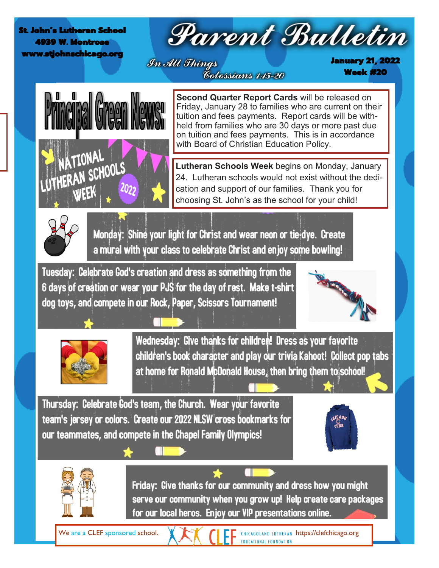St. John's Lutheran School 4939 W. Montrose www.stiohnschicago.o

# Parent Bulletin

In All Things Colossians 1:15-20 January 21, 2022 Week #20



**Second Quarter Report Cards** will be released on Friday, January 28 to families who are current on their tuition and fees payments. Report cards will be withheld from families who are 30 days or more past due on tuition and fees payments. This is in accordance with Board of Christian Education Policy.

**Lutheran Schools Week** begins on Monday, January 24. Lutheran schools would not exist without the dedication and support of our families. Thank you for choosing St. John's as the school for your child!



Monday: Shine your light for Christ and wear neon or tie-dye. Create a mural with your class to celebrate Christ and enjoy some bowling!

Tuesday: Celebrate God's creation and dress as something from the 6 days of creation or wear your PJS for the day of rest. Make t-shirt dog toys, and compete in our Rock, Paper, Scissors Tournament!





Wednesday: Give thanks for children! Dress as your favorite children's book character and play our trivia Kahoot! Collect pop tabs at home for Ronald McDonald House, then bring them to school!

Thursday: Celebrate God's team, the Church. Wear your favorite team's jersey or colors. Create our 2022 NLSW cross bookmarks for our teammates, and compete in the Chapel Family Olympics!





Friday: Give thanks for our community and dress how you might serve our community when you grow up! Help create care packages for our local heros. Enjoy our VIP presentations online.

We are a CLEF sponsored school.  $\blacksquare$   $\blacksquare$   $\blacksquare$  CHICAGOLAND LUTHERAN https://clefchicago.org **EDUCATIONAL FOUNDATION**